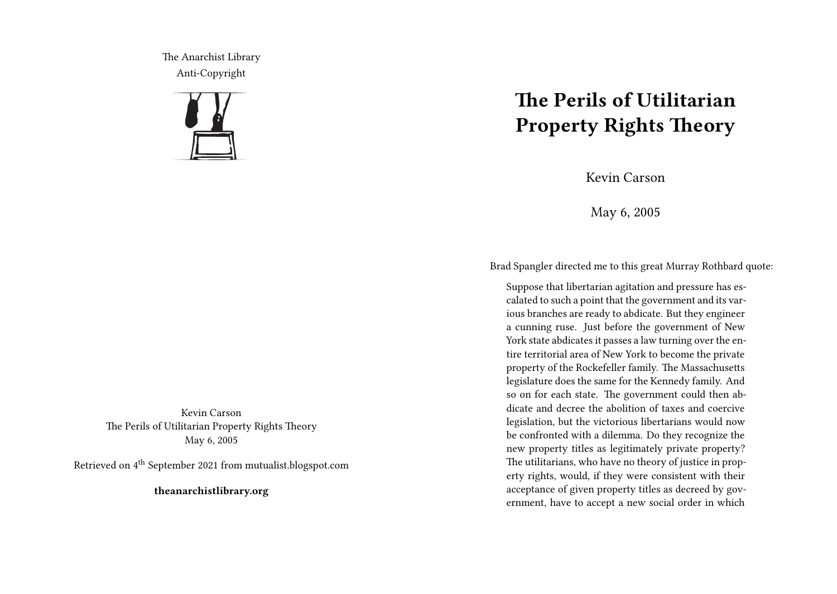The Anarchist Library Anti-Copyright



Kevin Carson The Perils of Utilitarian Property Rights Theory May 6, 2005

Retrieved on 4th September 2021 from mutualist.blogspot.com

**theanarchistlibrary.org**

## **The Perils of Utilitarian Property Rights Theory**

Kevin Carson

May 6, 2005

Brad Spangler directed me to this great Murray Rothbard quote:

Suppose that libertarian agitation and pressure has escalated to such a point that the government and its various branches are ready to abdicate. But they engineer a cunning ruse. Just before the government of New York state abdicates it passes a law turning over the entire territorial area of New York to become the private property of the Rockefeller family. The Massachusetts legislature does the same for the Kennedy family. And so on for each state. The government could then abdicate and decree the abolition of taxes and coercive legislation, but the victorious libertarians would now be confronted with a dilemma. Do they recognize the new property titles as legitimately private property? The utilitarians, who have no theory of justice in property rights, would, if they were consistent with their acceptance of given property titles as decreed by government, have to accept a new social order in which